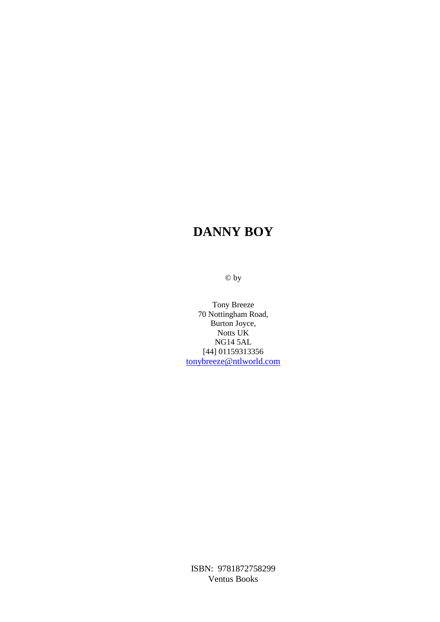© by

Tony Breeze 70 Nottingham Road, Burton Joyce, Notts UK NG14 5AL [44] 01159313356 tonybreeze@ntlworld.com

ISBN: 9781872758299 Ventus Books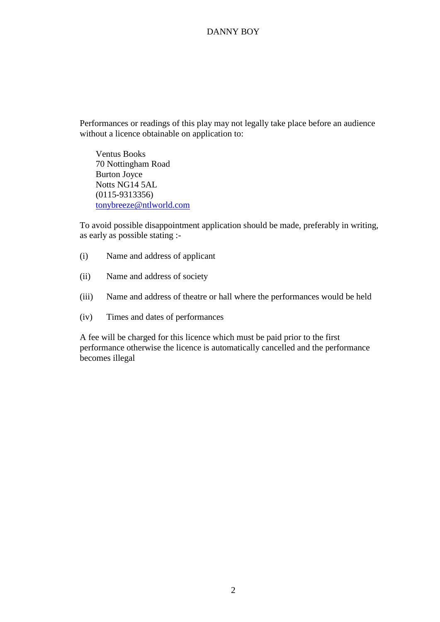Performances or readings of this play may not legally take place before an audience without a licence obtainable on application to:

Ventus Books 70 Nottingham Road Burton Joyce Notts NG14 5AL (0115-9313356) tonybreeze@ntlworld.com

To avoid possible disappointment application should be made, preferably in writing, as early as possible stating :-

- (i) Name and address of applicant
- (ii) Name and address of society
- (iii) Name and address of theatre or hall where the performances would be held
- (iv) Times and dates of performances

A fee will be charged for this licence which must be paid prior to the first performance otherwise the licence is automatically cancelled and the performance becomes illegal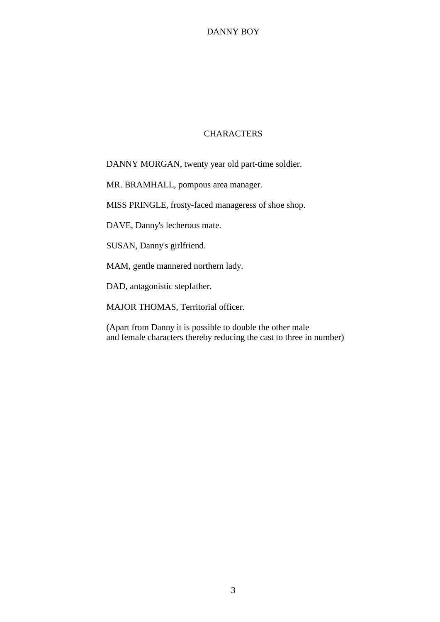#### **CHARACTERS**

DANNY MORGAN, twenty year old part-time soldier.

MR. BRAMHALL, pompous area manager.

MISS PRINGLE, frosty-faced manageress of shoe shop.

DAVE, Danny's lecherous mate.

SUSAN, Danny's girlfriend.

MAM, gentle mannered northern lady.

DAD, antagonistic stepfather.

MAJOR THOMAS, Territorial officer.

(Apart from Danny it is possible to double the other male and female characters thereby reducing the cast to three in number)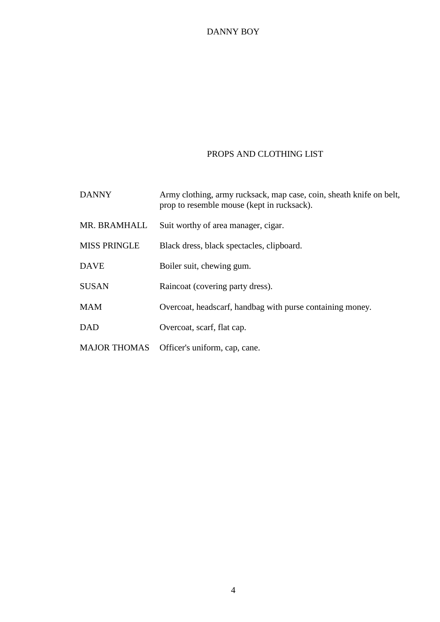# PROPS AND CLOTHING LIST

| <b>DANNY</b>        | Army clothing, army rucksack, map case, coin, sheath knife on belt,<br>prop to resemble mouse (kept in rucksack). |
|---------------------|-------------------------------------------------------------------------------------------------------------------|
| MR. BRAMHALL        | Suit worthy of area manager, cigar.                                                                               |
| <b>MISS PRINGLE</b> | Black dress, black spectacles, clipboard.                                                                         |
| <b>DAVE</b>         | Boiler suit, chewing gum.                                                                                         |
| <b>SUSAN</b>        | Raincoat (covering party dress).                                                                                  |
| <b>MAM</b>          | Overcoat, headscarf, handbag with purse containing money.                                                         |
| <b>DAD</b>          | Overcoat, scarf, flat cap.                                                                                        |
| <b>MAJOR THOMAS</b> | Officer's uniform, cap, cane.                                                                                     |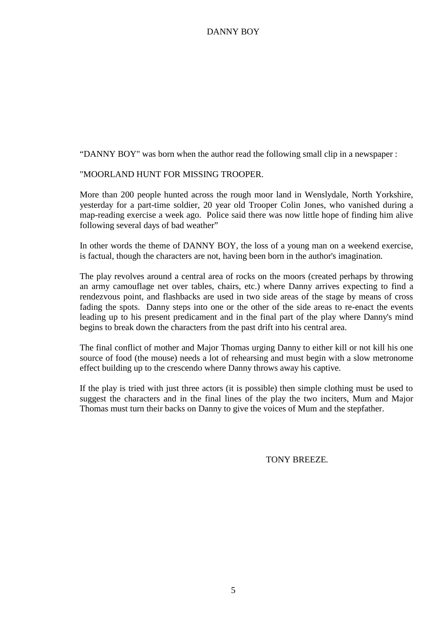"DANNY BOY" was born when the author read the following small clip in a newspaper :

### "MOORLAND HUNT FOR MISSING TROOPER.

More than 200 people hunted across the rough moor land in Wenslydale, North Yorkshire, yesterday for a part-time soldier, 20 year old Trooper Colin Jones, who vanished during a map-reading exercise a week ago. Police said there was now little hope of finding him alive following several days of bad weather"

In other words the theme of DANNY BOY, the loss of a young man on a weekend exercise, is factual, though the characters are not, having been born in the author's imagination.

The play revolves around a central area of rocks on the moors (created perhaps by throwing an army camouflage net over tables, chairs, etc.) where Danny arrives expecting to find a rendezvous point, and flashbacks are used in two side areas of the stage by means of cross fading the spots. Danny steps into one or the other of the side areas to re-enact the events leading up to his present predicament and in the final part of the play where Danny's mind begins to break down the characters from the past drift into his central area.

The final conflict of mother and Major Thomas urging Danny to either kill or not kill his one source of food (the mouse) needs a lot of rehearsing and must begin with a slow metronome effect building up to the crescendo where Danny throws away his captive.

If the play is tried with just three actors (it is possible) then simple clothing must be used to suggest the characters and in the final lines of the play the two inciters, Mum and Major Thomas must turn their backs on Danny to give the voices of Mum and the stepfather.

TONY BREEZE*.*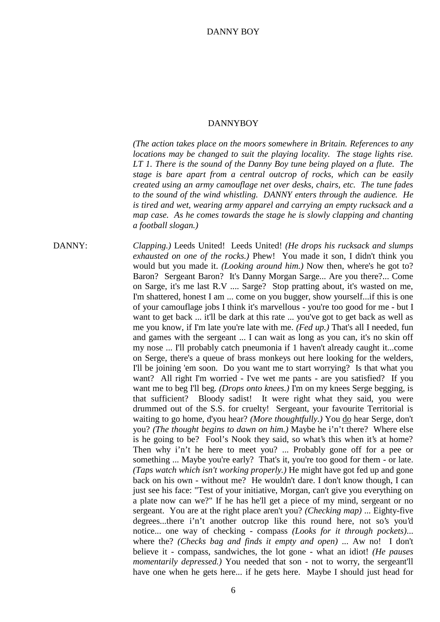*(The action takes place on the moors somewhere in Britain. References to any locations may be changed to suit the playing locality. The stage lights rise. LT 1. There is the sound of the Danny Boy tune being played on a flute. The stage is bare apart from a central outcrop of rocks, which can be easily created using an army camouflage net over desks, chairs, etc. The tune fades to the sound of the wind whistling. DANNY enters through the audience. He is tired and wet, wearing army apparel and carrying an empty rucksack and a map case. As he comes towards the stage he is slowly clapping and chanting a football slogan.)*

DANNY: *Clapping.)* Leeds United! Leeds United! *(He drops his rucksack and slumps exhausted on one of the rocks.)* Phew! You made it son, I didn't think you would but you made it. *(Looking around him.)* Now then, where's he got to? Baron? Sergeant Baron? It's Danny Morgan Sarge... Are you there?... Come on Sarge, it's me last R.V .... Sarge? Stop pratting about, it's wasted on me, I'm shattered, honest I am ... come on you bugger, show yourself...if this is one of your camouflage jobs I think it's marvellous - you're too good for me - but I want to get back ... it'll be dark at this rate ... you've got to get back as well as me you know, if I'm late you're late with me. *(Fed up.)* That's all I needed, fun and games with the sergeant ... I can wait as long as you can, it's no skin off my nose ... I'll probably catch pneumonia if 1 haven't already caught it...come on Serge, there's a queue of brass monkeys out here looking for the welders, I'll be joining 'em soon. Do you want me to start worrying? Is that what you want? All right I'm worried - I've wet me pants - are you satisfied? If you want me to beg I'll beg*. (Drops onto knees.)* I'm on my knees Serge begging, is that sufficient? Bloody sadist! It were right what they said, you were drummed out of the S.S. for cruelty! Sergeant, your favourite Territorial is waiting to go home, d'you hear? *(More thoughtfully.)* You do hear Serge, don't you? *(The thought begins to dawn on him.)* Maybe he i'n't there? Where else is he going to be? Fool's Nook they said, so what's this when it's at home? Then why i'n't he here to meet you? ... Probably gone off for a pee or something ... Maybe you're early? That's it, you're too good for them - or late. *(Taps watch which isn't working properly.)* He might have got fed up and gone back on his own - without me? He wouldn't dare. I don't know though, I can just see his face: "Test of your initiative, Morgan, can't give you everything on a plate now can we?" If he has he'll get a piece of my mind, sergeant or no sergeant. You are at the right place aren't you? *(Checking map)* ... Eighty-five degrees...there i'n't another outcrop like this round here, not so's you'd notice... one way of checking - compass *(Looks for it through pockets)*... where the? *(Checks bag and finds it empty and open)* ... Aw no! I don't believe it - compass, sandwiches, the lot gone - what an idiot! *(He pauses momentarily depressed.)* You needed that son - not to worry, the sergeant'll have one when he gets here... if he gets here. Maybe I should just head for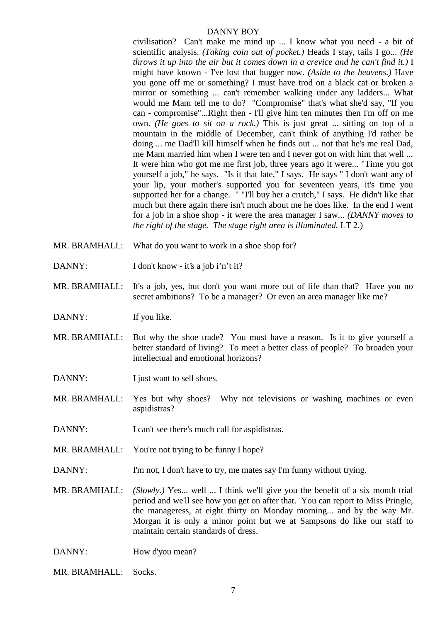civilisation? Can't make me mind up ... I know what you need - a bit of scientific analysis. *(Taking coin out of pocket.)* Heads I stay, tails I go... *(He throws it up into the air but it comes down in a crevice and he can't find it.)* I might have known - I've lost that bugger now. *(Aside to the heavens.)* Have you gone off me or something? I must have trod on a black cat or broken a mirror or something ... can't remember walking under any ladders... What would me Mam tell me to do? "Compromise" that's what she'd say, "If you can - compromise"...Right then - I'll give him ten minutes then I'm off on me own. *(He goes to sit on a rock.)* This is just great ... sitting on top of a mountain in the middle of December, can't think of anything I'd rather be doing ... me Dad'll kill himself when he finds out ... not that he's me real Dad, me Mam married him when I were ten and I never got on with him that well ... It were him who got me me first job, three years ago it were... "Time you got yourself a job," he says. "Is it that late," I says. He says " I don't want any of your lip, your mother's supported you for seventeen years, it's time you supported her for a change. " "I'll buy her a crutch," I says. He didn't like that much but there again there isn't much about me he does like. In the end I went for a job in a shoe shop - it were the area manager I saw... *(DANNY moves to the right of the stage. The stage right area is illuminated.* LT 2.)

- MR. BRAMHALL: What do you want to work in a shoe shop for?
- DANNY: I don't know it's a job i'n't it?
- MR. BRAMHALL: It's a job, yes, but don't you want more out of life than that? Have you no secret ambitions? To be a manager? Or even an area manager like me?
- DANNY: If you like.
- MR. BRAMHALL: But why the shoe trade? You must have a reason. Is it to give yourself a better standard of living? To meet a better class of people? To broaden your intellectual and emotional horizons?
- DANNY: I just want to sell shoes.
- MR. BRAMHALL: Yes but why shoes? Why not televisions or washing machines or even aspidistras?
- DANNY: I can't see there's much call for aspidistras.
- MR. BRAMHALL: You're not trying to be funny I hope?
- DANNY: I'm not, I don't have to try, me mates say I'm funny without trying.
- MR. BRAMHALL: *(Slowly.)* Yes... well ... I think we'll give you the benefit of a six month trial period and we'll see how you get on after that. You can report to Miss Pringle, the manageress, at eight thirty on Monday morning... and by the way Mr. Morgan it is only a minor point but we at Sampsons do like our staff to maintain certain standards of dress.
- DANNY: How d'you mean?

MR. BRAMHALL: Socks.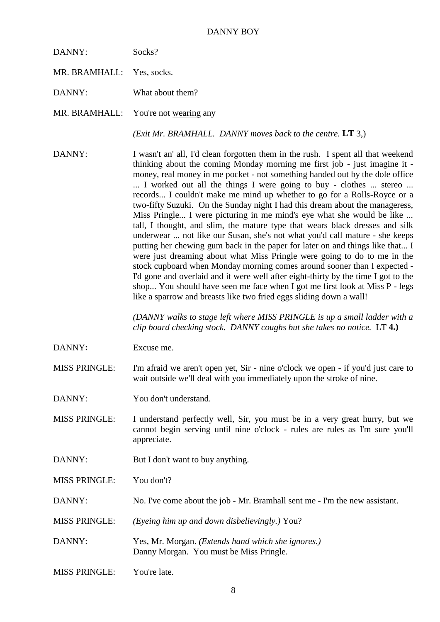| DANNY:                    | Socks?                               |
|---------------------------|--------------------------------------|
| MR. BRAMHALL: Yes, socks. |                                      |
| DANNY:                    | What about them?                     |
|                           | MR. BRAMHALL: You're not wearing any |
|                           | (Exit Mr. BRAMHALL. DANNY            |

*HALL. DANNY moves back to the centre.* **LT** 3.)

DANNY: I wasn't an' all, I'd clean forgotten them in the rush. I spent all that weekend thinking about the coming Monday morning me first job - just imagine it money, real money in me pocket - not something handed out by the dole office ... I worked out all the things I were going to buy - clothes ... stereo ... records... I couldn't make me mind up whether to go for a Rolls-Royce or a two-fifty Suzuki. On the Sunday night I had this dream about the manageress, Miss Pringle... I were picturing in me mind's eye what she would be like ... tall, I thought, and slim, the mature type that wears black dresses and silk underwear ... not like our Susan, she's not what you'd call mature - she keeps putting her chewing gum back in the paper for later on and things like that... I were just dreaming about what Miss Pringle were going to do to me in the stock cupboard when Monday morning comes around sooner than I expected - I'd gone and overlaid and it were well after eight-thirty by the time I got to the shop... You should have seen me face when I got me first look at Miss P - legs like a sparrow and breasts like two fried eggs sliding down a wall!

> *(DANNY walks to stage left where MISS PRINGLE is up a small ladder with a clip board checking stock. DANNY coughs but she takes no notice.* LT **4.)**

DANNY**:** Excuse me.

MISS PRINGLE: I'm afraid we aren't open yet, Sir - nine o'clock we open - if you'd just care to wait outside we'll deal with you immediately upon the stroke of nine.

- DANNY: You don't understand.
- MISS PRINGLE: I understand perfectly well, Sir, you must be in a very great hurry, but we cannot begin serving until nine o'clock - rules are rules as I'm sure you'll appreciate.
- DANNY: But I don't want to buy anything.

MISS PRINGLE: You don't?

- DANNY: No. I've come about the job Mr. Bramhall sent me I'm the new assistant.
- MISS PRINGLE: *(Eyeing him up and down disbelievingly.)* You?
- DANNY: Yes, Mr. Morgan. *(Extends hand which she ignores.)* Danny Morgan. You must be Miss Pringle.
- MISS PRINGLE: You're late.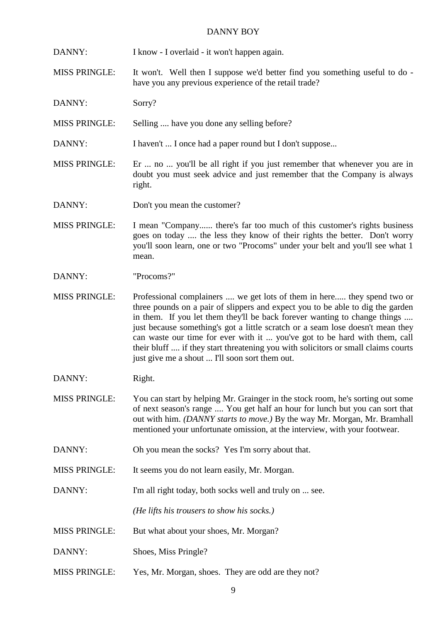DANNY: I know - I overlaid - it won't happen again.

MISS PRINGLE: It won't. Well then I suppose we'd better find you something useful to do have you any previous experience of the retail trade?

DANNY: Sorry?

MISS PRINGLE: Selling .... have you done any selling before?

DANNY: I haven't ... I once had a paper round but I don't suppose...

MISS PRINGLE: Er ... no ... you'll be all right if you just remember that whenever you are in doubt you must seek advice and just remember that the Company is always right.

DANNY: Don't you mean the customer?

MISS PRINGLE: I mean "Company...... there's far too much of this customer's rights business goes on today .... the less they know of their rights the better. Don't worry you'll soon learn, one or two "Procoms" under your belt and you'll see what 1 mean.

DANNY: "Procoms?"

MISS PRINGLE: Professional complainers .... we get lots of them in here..... they spend two or three pounds on a pair of slippers and expect you to be able to dig the garden in them. If you let them they'll be back forever wanting to change things .... just because something's got a little scratch or a seam lose doesn't mean they can waste our time for ever with it ... you've got to be hard with them, call their bluff .... if they start threatening you with solicitors or small claims courts just give me a shout ... I'll soon sort them out.

DANNY: Right.

MISS PRINGLE: You can start by helping Mr. Grainger in the stock room, he's sorting out some of next season's range .... You get half an hour for lunch but you can sort that out with him. *(DANNY starts to move.)* By the way Mr. Morgan, Mr. Bramhall mentioned your unfortunate omission, at the interview, with your footwear.

DANNY: Oh you mean the socks? Yes I'm sorry about that.

MISS PRINGLE: It seems you do not learn easily, Mr. Morgan.

DANNY: I'm all right today, both socks well and truly on ... see.

*(He lifts his trousers to show his socks.)*

- MISS PRINGLE: But what about your shoes, Mr. Morgan?
- DANNY: Shoes, Miss Pringle?
- MISS PRINGLE: Yes, Mr. Morgan, shoes. They are odd are they not?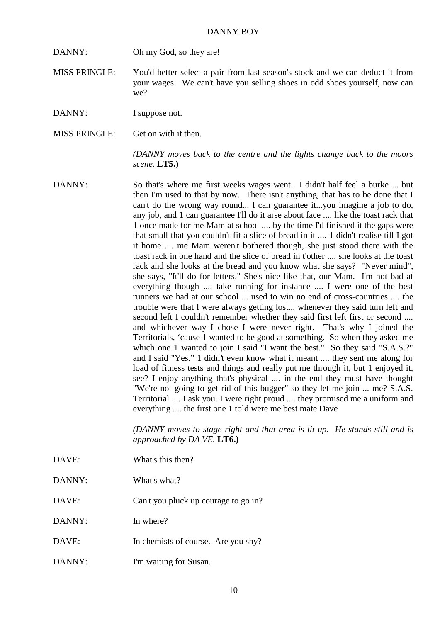DANNY: Oh my God, so they are!

MISS PRINGLE: You'd better select a pair from last season's stock and we can deduct it from your wages. We can't have you selling shoes in odd shoes yourself, now can we?

DANNY: I suppose not.

MISS PRINGLE: Get on with it then.

*(DANNY moves back to the centre and the lights change back to the moors scene.* **LT5.)**

DANNY: So that's where me first weeks wages went. I didn't half feel a burke ... but then I'm used to that by now. There isn't anything, that has to be done that I can't do the wrong way round... I can guarantee it...you imagine a job to do, any job, and 1 can guarantee I'll do it arse about face .... like the toast rack that 1 once made for me Mam at school .... by the time I'd finished it the gaps were that small that you couldn't fit a slice of bread in it .... 1 didn't realise till I got it home .... me Mam weren't bothered though, she just stood there with the toast rack in one hand and the slice of bread in t'other .... she looks at the toast rack and she looks at the bread and you know what she says? "Never mind", she says, "It'll do for letters." She's nice like that, our Mam. I'm not bad at everything though .... take running for instance .... I were one of the best runners we had at our school ... used to win no end of cross-countries .... the trouble were that I were always getting lost... whenever they said turn left and second left I couldn't remember whether they said first left first or second .... and whichever way I chose I were never right. That's why I joined the Territorials, 'cause 1 wanted to be good at something. So when they asked me which one 1 wanted to join I said "I want the best." So they said "S.A.S.?" and I said "Yes." 1 didn't even know what it meant .... they sent me along for load of fitness tests and things and really put me through it, but 1 enjoyed it, see? I enjoy anything that's physical .... in the end they must have thought "We're not going to get rid of this bugger" so they let me join ... me? S.A.S. Territorial .... I ask you. I were right proud .... they promised me a uniform and everything .... the first one 1 told were me best mate Dave

> *(DANNY moves to stage right and that area is lit up. He stands still and is approached by DA VE.* **LT6.)**

- DAVE: What's this then?
- DANNY: What's what?

DAVE: Can't you pluck up courage to go in?

- DANNY: In where?
- DAVE: In chemists of course. Are you shy?
- DANNY: I'm waiting for Susan.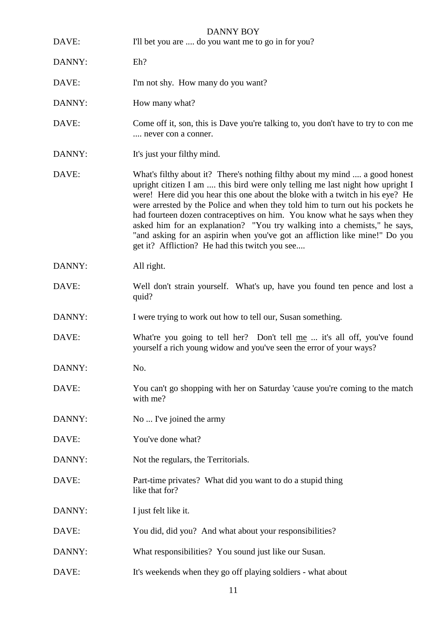| DAVE:  | <b>DANNY BOY</b><br>I'll bet you are  do you want me to go in for you?                                                                                                                                                                                                                                                                                                                                                                                                                                                                                                                                                    |
|--------|---------------------------------------------------------------------------------------------------------------------------------------------------------------------------------------------------------------------------------------------------------------------------------------------------------------------------------------------------------------------------------------------------------------------------------------------------------------------------------------------------------------------------------------------------------------------------------------------------------------------------|
| DANNY: | Eh?                                                                                                                                                                                                                                                                                                                                                                                                                                                                                                                                                                                                                       |
| DAVE:  | I'm not shy. How many do you want?                                                                                                                                                                                                                                                                                                                                                                                                                                                                                                                                                                                        |
| DANNY: | How many what?                                                                                                                                                                                                                                                                                                                                                                                                                                                                                                                                                                                                            |
| DAVE:  | Come off it, son, this is Dave you're talking to, you don't have to try to con me<br>never con a conner.                                                                                                                                                                                                                                                                                                                                                                                                                                                                                                                  |
| DANNY: | It's just your filthy mind.                                                                                                                                                                                                                                                                                                                                                                                                                                                                                                                                                                                               |
| DAVE:  | What's filthy about it? There's nothing filthy about my mind  a good honest<br>upright citizen I am  this bird were only telling me last night how upright I<br>were! Here did you hear this one about the bloke with a twitch in his eye? He<br>were arrested by the Police and when they told him to turn out his pockets he<br>had fourteen dozen contraceptives on him. You know what he says when they<br>asked him for an explanation? "You try walking into a chemists," he says,<br>"and asking for an aspirin when you've got an affliction like mine!" Do you<br>get it? Affliction? He had this twitch you see |
| DANNY: | All right.                                                                                                                                                                                                                                                                                                                                                                                                                                                                                                                                                                                                                |
| DAVE:  | Well don't strain yourself. What's up, have you found ten pence and lost a<br>quid?                                                                                                                                                                                                                                                                                                                                                                                                                                                                                                                                       |
| DANNY: | I were trying to work out how to tell our, Susan something.                                                                                                                                                                                                                                                                                                                                                                                                                                                                                                                                                               |
| DAVE:  | What're you going to tell her? Don't tell me  it's all off, you've found<br>yourself a rich young widow and you've seen the error of your ways?                                                                                                                                                                                                                                                                                                                                                                                                                                                                           |
| DANNY: | No.                                                                                                                                                                                                                                                                                                                                                                                                                                                                                                                                                                                                                       |
| DAVE:  | You can't go shopping with her on Saturday 'cause you're coming to the match<br>with me?                                                                                                                                                                                                                                                                                                                                                                                                                                                                                                                                  |
| DANNY: | No  I've joined the army                                                                                                                                                                                                                                                                                                                                                                                                                                                                                                                                                                                                  |
| DAVE:  | You've done what?                                                                                                                                                                                                                                                                                                                                                                                                                                                                                                                                                                                                         |
| DANNY: | Not the regulars, the Territorials.                                                                                                                                                                                                                                                                                                                                                                                                                                                                                                                                                                                       |
| DAVE:  | Part-time privates? What did you want to do a stupid thing<br>like that for?                                                                                                                                                                                                                                                                                                                                                                                                                                                                                                                                              |
| DANNY: | I just felt like it.                                                                                                                                                                                                                                                                                                                                                                                                                                                                                                                                                                                                      |
| DAVE:  | You did, did you? And what about your responsibilities?                                                                                                                                                                                                                                                                                                                                                                                                                                                                                                                                                                   |
| DANNY: | What responsibilities? You sound just like our Susan.                                                                                                                                                                                                                                                                                                                                                                                                                                                                                                                                                                     |
| DAVE:  | It's weekends when they go off playing soldiers - what about                                                                                                                                                                                                                                                                                                                                                                                                                                                                                                                                                              |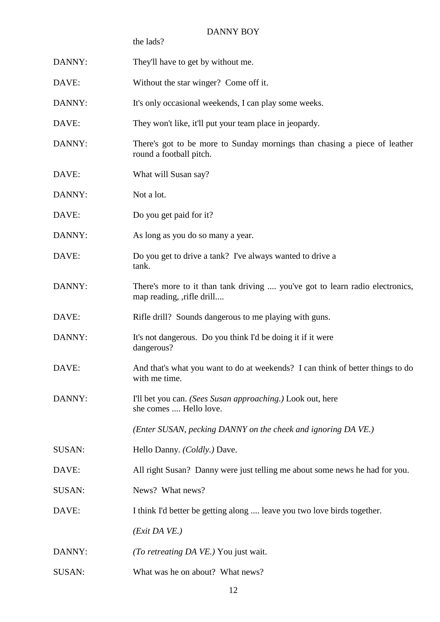|               | the lads?                                                                                                  |
|---------------|------------------------------------------------------------------------------------------------------------|
| DANNY:        | They'll have to get by without me.                                                                         |
| DAVE:         | Without the star winger? Come off it.                                                                      |
| DANNY:        | It's only occasional weekends, I can play some weeks.                                                      |
| DAVE:         | They won't like, it'll put your team place in jeopardy.                                                    |
| DANNY:        | There's got to be more to Sunday mornings than chasing a piece of leather<br>round a football pitch.       |
| DAVE:         | What will Susan say?                                                                                       |
| DANNY:        | Not a lot.                                                                                                 |
| DAVE:         | Do you get paid for it?                                                                                    |
| DANNY:        | As long as you do so many a year.                                                                          |
| DAVE:         | Do you get to drive a tank? I've always wanted to drive a<br>tank.                                         |
| DANNY:        | There's more to it than tank driving  you've got to learn radio electronics,<br>map reading, , rifle drill |
| DAVE:         | Rifle drill? Sounds dangerous to me playing with guns.                                                     |
| DANNY:        | It's not dangerous. Do you think I'd be doing it if it were<br>dangerous?                                  |
| DAVE:         | And that's what you want to do at weekends? I can think of better things to do<br>with me time.            |
| DANNY:        | I'll bet you can. (Sees Susan approaching.) Look out, here<br>she comes  Hello love.                       |
|               | (Enter SUSAN, pecking DANNY on the cheek and ignoring DA VE.)                                              |
| SUSAN:        | Hello Danny. (Coldly.) Dave.                                                                               |
| DAVE:         | All right Susan? Danny were just telling me about some news he had for you.                                |
| SUSAN:        | News? What news?                                                                                           |
| DAVE:         | I think I'd better be getting along  leave you two love birds together.                                    |
|               | $(Exit\ DA\ VE.)$                                                                                          |
| DANNY:        | ( <i>To retreating DA VE.</i> ) You just wait.                                                             |
| <b>SUSAN:</b> | What was he on about? What news?                                                                           |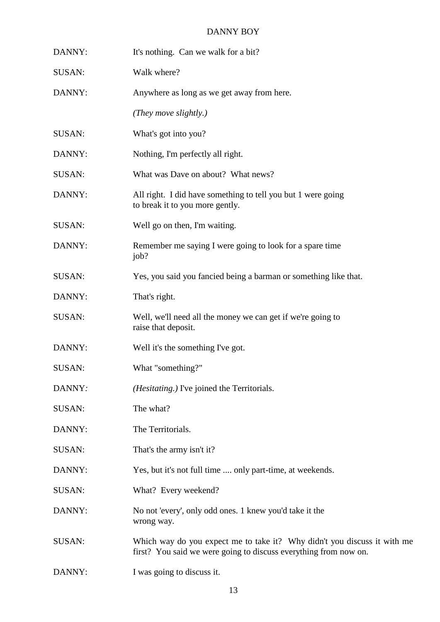| DANNY:        | It's nothing. Can we walk for a bit?                                                                                                         |
|---------------|----------------------------------------------------------------------------------------------------------------------------------------------|
| SUSAN:        | Walk where?                                                                                                                                  |
| DANNY:        | Anywhere as long as we get away from here.                                                                                                   |
|               | (They move slightly.)                                                                                                                        |
| SUSAN:        | What's got into you?                                                                                                                         |
| DANNY:        | Nothing, I'm perfectly all right.                                                                                                            |
| SUSAN:        | What was Dave on about? What news?                                                                                                           |
| DANNY:        | All right. I did have something to tell you but 1 were going<br>to break it to you more gently.                                              |
| <b>SUSAN:</b> | Well go on then, I'm waiting.                                                                                                                |
| DANNY:        | Remember me saying I were going to look for a spare time<br>job?                                                                             |
| <b>SUSAN:</b> | Yes, you said you fancied being a barman or something like that.                                                                             |
| DANNY:        | That's right.                                                                                                                                |
| <b>SUSAN:</b> | Well, we'll need all the money we can get if we're going to<br>raise that deposit.                                                           |
| DANNY:        | Well it's the something I've got.                                                                                                            |
| SUSAN:        | What "something?"                                                                                                                            |
| DANNY:        | ( <i>Hesitating.</i> ) I've joined the Territorials.                                                                                         |
| SUSAN:        | The what?                                                                                                                                    |
| DANNY:        | The Territorials.                                                                                                                            |
| SUSAN:        | That's the army isn't it?                                                                                                                    |
| DANNY:        | Yes, but it's not full time  only part-time, at weekends.                                                                                    |
| <b>SUSAN:</b> | What? Every weekend?                                                                                                                         |
| DANNY:        | No not 'every', only odd ones. 1 knew you'd take it the<br>wrong way.                                                                        |
| <b>SUSAN:</b> | Which way do you expect me to take it? Why didn't you discuss it with me<br>first? You said we were going to discuss everything from now on. |
|               |                                                                                                                                              |

DANNY: I was going to discuss it.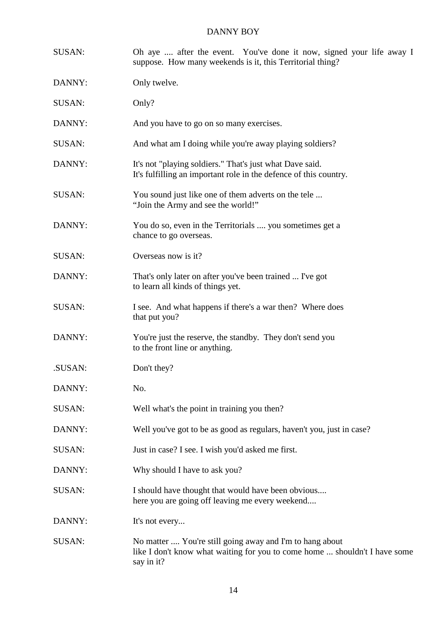| <b>SUSAN:</b> | Oh aye  after the event. You've done it now, signed your life away I<br>suppose. How many weekends is it, this Territorial thing?                    |
|---------------|------------------------------------------------------------------------------------------------------------------------------------------------------|
| DANNY:        | Only twelve.                                                                                                                                         |
| <b>SUSAN:</b> | Only?                                                                                                                                                |
| DANNY:        | And you have to go on so many exercises.                                                                                                             |
| <b>SUSAN:</b> | And what am I doing while you're away playing soldiers?                                                                                              |
| DANNY:        | It's not "playing soldiers." That's just what Dave said.<br>It's fulfilling an important role in the defence of this country.                        |
| SUSAN:        | You sound just like one of them adverts on the tele<br>"Join the Army and see the world!"                                                            |
| DANNY:        | You do so, even in the Territorials  you sometimes get a<br>chance to go overseas.                                                                   |
| SUSAN:        | Overseas now is it?                                                                                                                                  |
| DANNY:        | That's only later on after you've been trained  I've got<br>to learn all kinds of things yet.                                                        |
| <b>SUSAN:</b> | I see. And what happens if there's a war then? Where does<br>that put you?                                                                           |
| DANNY:        | You're just the reserve, the standby. They don't send you<br>to the front line or anything.                                                          |
| .SUSAN:       | Don't they?                                                                                                                                          |
| DANNY:        | No.                                                                                                                                                  |
| <b>SUSAN:</b> | Well what's the point in training you then?                                                                                                          |
| DANNY:        | Well you've got to be as good as regulars, haven't you, just in case?                                                                                |
| <b>SUSAN:</b> | Just in case? I see. I wish you'd asked me first.                                                                                                    |
| DANNY:        | Why should I have to ask you?                                                                                                                        |
| <b>SUSAN:</b> | I should have thought that would have been obvious<br>here you are going off leaving me every weekend                                                |
| DANNY:        | It's not every                                                                                                                                       |
| <b>SUSAN:</b> | No matter  You're still going away and I'm to hang about<br>like I don't know what waiting for you to come home  shouldn't I have some<br>say in it? |